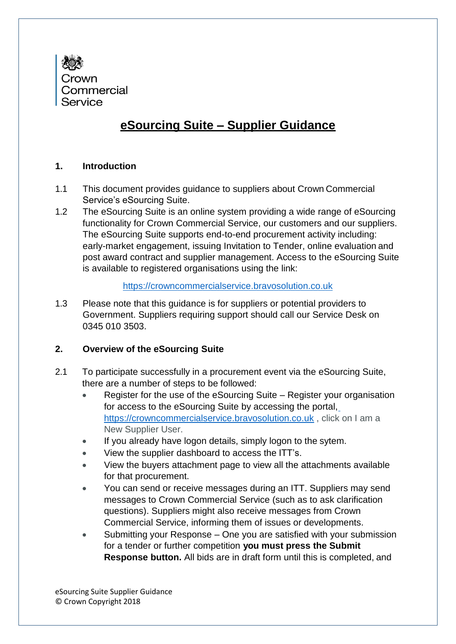

# **eSourcing Suite – Supplier Guidance**

### **1. Introduction**

- 1.1 This document provides guidance to suppliers about Crown Commercial Service's eSourcing Suite.
- 1.2 The eSourcing Suite is an online system providing a wide range of eSourcing functionality for Crown Commercial Service, our customers and our suppliers. The eSourcing Suite supports end-to-end procurement activity including: early-market engagement, issuing Invitation to Tender, online evaluation and post award contract and supplier management. Access to the eSourcing Suite is available to registered organisations using the link:

#### https://crowncommercialservice.bravosolution.co.uk

1.3 Please note that this guidance is for suppliers or potential providers to Government. Suppliers requiring support should call our Service Desk on 0345 010 3503.

## **2. Overview of the eSourcing Suite**

- 2.1 To participate successfully in a procurement event via the eSourcing Suite, there are a number of steps to be followed:
	- Register for the use of the eSourcing Suite Register your organisation for access to the eSourcing Suite by accessing the portal, https://crowncommercialservice.bravosolution.co.uk , click on I am a New Supplier User.
	- If you already have logon details, simply logon to the sytem.
	- View the supplier dashboard to access the ITT's.
	- View the buyers attachment page to view all the attachments available for that procurement.
	- You can send or receive messages during an ITT. Suppliers may send messages to Crown Commercial Service (such as to ask clarification questions). Suppliers might also receive messages from Crown Commercial Service, informing them of issues or developments.
	- Submitting your Response One you are satisfied with your submission for a tender or further competition **you must press the Submit Response button.** All bids are in draft form until this is completed, and

eSourcing Suite Supplier Guidance © Crown Copyright 2018